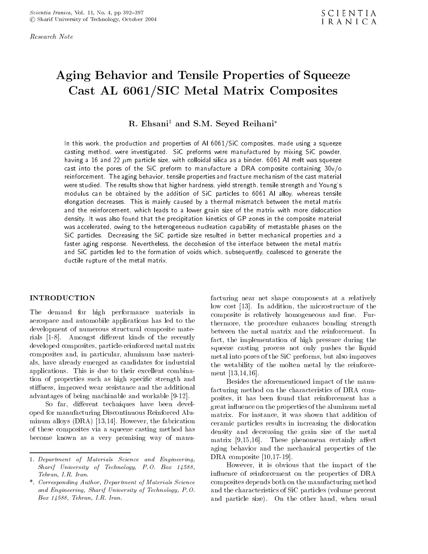Research Note

# Aging Behavior and Tensile Properties of Squeeze Cast AL 6061/SIC Metal Matrix Composites

R. Ehsani<sup>1</sup> and S.M. Seyed Reihani<sup>\*</sup>

In this work, the production and properties of Al 6061/SiC composites, made using a squeeze casting method, were investigated. SiC preforms were manufactured by mixing SiC powder, having a 16 and 22  $\mu$ m particle size, with colloidal silica as a binder. 6061 Al melt was squeeze cast into the pores of the SiC preform to manufacture <sup>a</sup> DRA composite containing 30v/o reinforcement. The aging behavior, tensile properties and fracture mechanism of the cast material were studied. The results show that higher hardness, yield strength, tensile strength and Young's modulus can be obtained by the addition of SiC particles to <sup>6061</sup> Al alloy, whereas tensile elongation decreases. This is mainly caused by a thermal mismatch between the metal matrix and the reinforcement, which leads to <sup>a</sup> lower grain size of the matrix with more dislocation density. It was also found that the precipitation kinetics of GP zones in the composite material was accelerated, owing to the heterogeneous nucleation capability of metastable phases on the SiC particles. Decreasing the SiC particle size resulted in better mechanical properties and <sup>a</sup> faster aging response. Nevertheless, the decohesion of the interface between the metal matrix and SiC particles led to the formation of voids which, subsequently, coalesced to generate the ductile rupture of the metal matrix.

# **INTRODUCTION**

The demand for high performance materials in aerospace and automobile applications has led to the development of numerous structural composite materials [1-8]. Amongst different kinds of the recently developed composites, particle-reinforced metal matrix composites and, in particular, aluminum base materials, have already emerged as candidates for industrial applications. This is due to their excellent combination of properties such as high specic strength and stiness, improved wear resistance and the additional advantages of being machinable and workable [9-12].

So far, different techniques have been developed for manufacturing Discontinuous Reinforced Aluminum alloys (DRA) [13,14]. However, the fabrication of these composites via a squeeze casting method has become known as <sup>a</sup> very promising way of manufacturing near net shape components at <sup>a</sup> relatively low cost [13]. In addition, the microstructure of the composite is relatively homogeneous and fine. Furthermore, the procedure enhances bonding strength between the metal matrix and the reinforcement. In fact, the implementation of high pressure during the squeeze casting process not only pushes the liquid metal into pores of the SiC preforms, but also improves the wetability of the molten metal by the reinforcement [13,14,16].

Besides the aforementioned impact of the manufacturing method on the characteristics of DRA composites, it has been found that reinforcement has <sup>a</sup> great influence on the properties of the aluminum metal matrix. For instance, it was shown that addition of ceramic particles results in increasing the dislocation density and decreasing the grain size of the metal matrix  $[9,15,16]$ . These phenomena certainly affect aging behavior and the mechanical properties of the DRA composite [10,17-19].

However, it is obvious that the impact of the influence of reinforcement on the properties of DRA composites depends both on the manufacturing method and the characteristics of SiC particles (volume percent and particle size). On the other hand, when usual

<sup>1.</sup> Department of Materials Science and Engineering, Sharif University of Technology, P.O. Box 14588, Tehran, I.R. Iran.

<sup>\*.</sup> Corresponding Author, Department of Materials Science and Engineering, Sharif University of Technology, P.O. Box 14588, Tehran, I.R. Iran.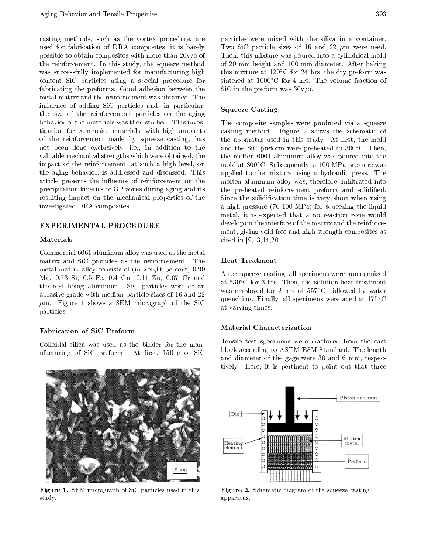casting methods, such as the vortex procedure, are used for fabrication of DRA composites, it is barely possible to obtain composites with more than  $20v/\sigma$  of the reinforcement. In this study, the squeeze method was successfully implemented for manufacturing high content SiC particles using <sup>a</sup> special procedure for fabricating the preforms. Good adhesion between the metal matrix and the reinforcement was obtained. The influence of adding SiC particles and, in particular, the size of the reinforcement particles on the aging behavior of the materials was then studied. This investigation for composite materials, with high amounts of the reinforcement made by squeeze casting, has not been done exclusively, i.e., in addition to the valuable mechanical strengths which were obtained, the impact of the reinforcement, at such <sup>a</sup> high level, on the aging behavior, is addressed and discussed. This article presents the influence of reinforcement on the precipitation kinetics of GP zones during aging and its resulting impact on the mechanical properties of the investigated DRA composites.

#### EXPERIMENTAL PROCEDURE

#### Materials

Commercial 6061 aluminum alloy was used as the metal matrix and SiC particles as the reinforcement. The metal matrix alloy consists of (in weight percent) 0.99 Mg, 0.73 Si,0.5 Fe, 0.4 Cu, 0.11 Zn, 0.07 Cr and the rest being aluminum. SiC particles were of an abrasive grade with median particle sizes of 16 and 22  $\mu$ m. Figure 1 shows a SEM micrograph of the SiC particles.

# Fabrication of SiC Preform

Colloidal silica was used as the binder for the manufacturing of SiC preform. At first,  $150 \text{ g}$  of SiC



particles were mixed with the silica in <sup>a</sup> container. Two SiC particle sizes of 16 and 22  $\mu$ m were used. Then, this mixture was poured into a cylindrical mold of 20 mm height and 100 mm diameter. After baking this mixture at  $120^{\circ}$ C for 24 hrs, the dry preform was sintered at  $1000^{\circ}$ C for 4 hrs. The volume fraction of SiC in the preform was 30v/o.

# Squeeze Casting

The composite samples were produced via <sup>a</sup> squeeze casting method. Figure <sup>2</sup> shows the schematic of the apparatus used in this study. At first, the mold and the SiC preform were preheated to  $300^{\circ}$ C. Then, the molten 6061 aluminum alloy was poured into the mold at 800°C. Subsequently, a 100 MPa pressure was applied to the mixture using <sup>a</sup> hydraulic press. The molten aluminum alloy was, therefore, inltrated into the preheated reinforcement preform and solidied. Since the solidication time is very short when using a high pressure (70-100 MPa) for squeezing the liquid metal, it is expected that <sup>a</sup> no reaction zone would develop on the interface of the matrix and the reinforcement, giving void free and high strength composites as cited in [9,13,14,20].

# Heat Treatment

After squeeze casting, all specimens were homogenized at  $530^{\circ}$ C for 3 hrs. Then, the solution heat treatment was employed for 2 hrs at  $557^{\circ}$ C, followed by water quenching. Finally, all specimens were aged at  $175^{\circ}$ C at varying times.

# Material Characterization

Tensile test specimens were machined from the cast block according to ASTM-E8M Standard. The length and diameter of the gage were <sup>30</sup> and <sup>6</sup> mm, respectively. Here, it is pertinent to point out that three



Figure 1. SEM micrograph of SiC particles used in this study.



Figure 2. Schematic diagram of the squeeze casting apparatus.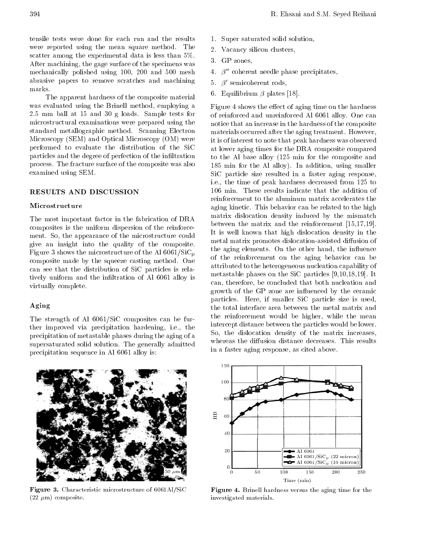tensile tests were done for each run and the results were reported using the mean square method. The scatter among the experimental data is less than 5%. After machining, the gage surface of the specimens was mechanically polished using 100, <sup>200</sup> and <sup>500</sup> mesh abrasive papers to remove scratches and machining

The apparent hardness of the composite material was evaluated using the Brinell method, employing <sup>a</sup> 2.5 mm ball at <sup>15</sup> and <sup>30</sup> <sup>g</sup> loads. Sample tests for microstructural examinations were prepared using the standard metallographic method. Scanning Electron Microscopy (SEM) and Optical Microscopy (OM) were performed to evaluate the distribution of the SiC particles and the degree of perfection of the inltration process. The fracture surface of the composite was also examined using SEM.

# RESULTS AND DISCUSSION

#### Microstructure

The most important factor in the fabrication of DRA composites is the uniform dispersion of the reinforcement. So, the appearance of the microstructure could give an insight into the quality of the composite. Figure 3 shows the microstructure of the Al  $6061/SiC_p$ composite made by the squeeze casting method. One can see that the distribution of SiC particles is relatively uniform and the infiltration of Al 6061 alloy is virtually complete.

# Aging

The strength of Al 6061/SiC composites can be further improved via precipitation hardening, i.e., the precipitation of metastable phases during the aging of a supersaturated solid solution. The generally admitted precipitation sequence in Al 6061 alloy is:



- 2. Vacancy silicon clusters,
- 3. GP zones,
- 4.  $\beta''$  coherent needle phase precipitates,
- $\beta'$  semicoherent rods,
- 6. Equilibrium  $\beta$  plates [18].

Figure 4 shows the effect of aging time on the hardness of reinforced and unreinforced Al 6061 alloy. One can notice that an increase in the hardness of the composite materials occurred after the aging treatment. However, it is of interest to note that peak hardness was observed at lower aging times for the DRA composite compared to the Al base alloy (125 min for the composite and <sup>185</sup> min for the Al alloy). In addition, using smaller SiC particle size resulted in <sup>a</sup> faster aging response, i.e., the time of peak hardness decreased from 125 to <sup>106</sup> min. These results indicate that the addition of reinforcement to the aluminum matrix accelerates the aging kinetic. This behavior can be related to the high matrix dislocation density induced by the mismatch between the matrix and the reinforcement [15,17,19]. It is well known that high dislocation density in the metal matrix promotes dislocation-assisted diffusion of the aging elements. On the other hand, the influence of the reinforcement on the aging behavior can be attributed to the heterogeneous nucleation capability of metastable phases on the SiC particles [9,10,18,19]. It can, therefore, be concluded that both nucleation and growth of the GP zone are influenced by the ceramic particles. Here, if smaller SiC particle size is used, the total interface area between the metal matrix and the reinforcement would be higher, while the mean intercept distance between the particles would be lower. So, the dislocation density of the matrix increases, whereas the diffusion distance decreases. This results in a faster aging response, as cited above.



Figure 3. Characteristic microstructure of 6061Al/SiC  $(22 \mu m)$  composite.



Figure 4. Brinell hardness versus the aging time for the investigated materials.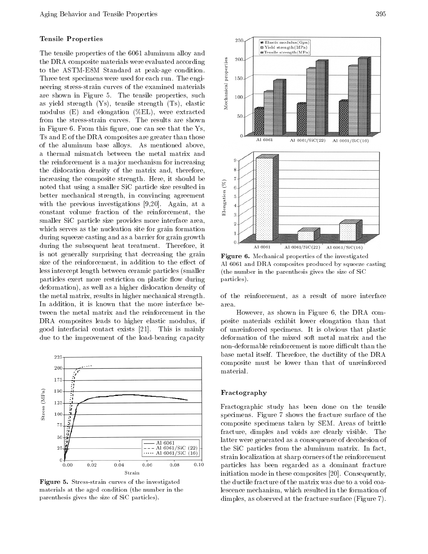# Tensile Properties

The tensile properties of the 6061 aluminum alloy and the DRA composite materials were evaluated according<br>to the ASTM-E8M Standard at peak-age condition.<br>Three test specimens were used for each run. The engi-<br>neering stress-strain curves of the examined materials<br>are shown i to the ASTM-E8M Standard at peak-age condition. Three test specimens were used for each run. The engineering stress-strain curves of the examined materials are shown in Figure 5. The tensile properties, such as yield strength (Ys), tensile strength (Ts), elastic modulus (E) and elongation (%EL), were extracted from the stress-strain curves. The results are shown in Figure 6. From this figure, one can see that the  $\text{Ys}$ , Ts and E of the DRA composites are greater than those of the aluminum base alloys. As mentioned above, <sup>a</sup> thermal mismatch between the metal matrix and the reinforcement is a ma jor mechanism for increasing the dislocation density of the matrix and, therefore, increasing the composite strength. Here, it should be<br>noted that using a smaller SiC particle size resulted in<br>better mechanical strength, in convincing agreement<br>with the previous investigations [9,20]. Again, at a<br>const noted that using a smaller SiC particle size resulted in better mechanical strength, in convincing agreement with the previous investigations [9,20]. Again, at <sup>a</sup> constant volume fraction of the reinforcement, the smaller SiC particle size provides more interface area, which serves as the nucleation site for grain formation during squeeze casting and as a barrier for grain growth during the subsequent heat treatment. Therefore, it is not generally surprising that decreasing the grain size of the reinforcement, in addition to the effect of less intercept length between ceramic particles (smaller particles exert more restriction on plastic flow during deformation), as well as a higher dislocation density of the metal matrix, results in higher mechanical strength. In addition, it is known that the more interface between the metal matrix and the reinforcement in the DRA composites leads to higher elastic modulus, if good interfacial contact exists [21]. This is mainly due to the improvement of the load-bearing capacity



Figure 5. Stress-strain curves of the investigated materials at the aged condition (the number in the parenthesis gives the size of SiC particles).



Figure 6. Mechanical properties of the investigated Al 6061 and DRA composites produced by squeeze casting (the number in the parenthesis gives the size of SiC particles).

of the reinforcement, as <sup>a</sup> result of more interface area.

However, as shown in Figure 6, the DRA composite materials exhibit lower elongation than that of unreinforced specimens. It is obvious that plastic deformation of the mixed soft metal matrix and the non-deformable reinforcement is more difficult than the base metal itself. Therefore, the ductility of the DRA composite must be lower than that of unreinforced

#### Fractography

Fractographic study has been done on the tensile specimens. Figure 7 shows the fracture surface of the composite specimens taken by SEM. Areas of brittle fracture, dimples and voids are clearly visible. The latter were generated as a consequence of decohesion of the SiC particles from the aluminum matrix. In fact, strain localization at sharp corners of the reinforcement particles has been regarded as <sup>a</sup> dominant fracture initiation mode in these composites [20]. Consequently, the ductile fracture of the matrix was due to a void coalescence mechanism, which resulted in the formation of dimples, as observed at the fracture surface (Figure 7).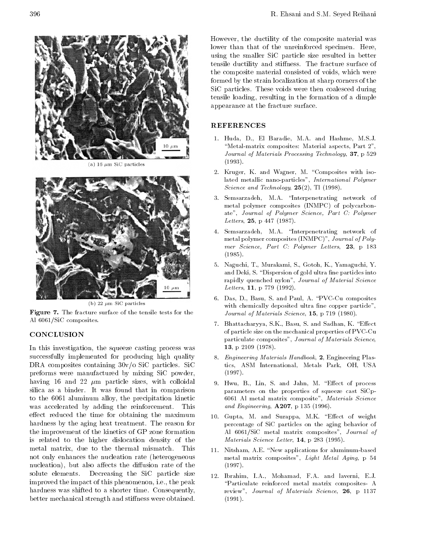

(a) 16  $\mu$ m SiC particles



(b) 22  $\mu$ m SiC particles

Figure 7. The fracture surface of the tensile tests for the Al 6061/SiC composites.

# **CONCLUSION**

In this investigation, the squeeze casting process was successfully implemented for producing high quality DRA composites containing 30v/o SiC particles. SiC preforms were manufactured by mixing SiC powder, having 16 and 22  $\mu$ m particle sizes, with colloidal silica as <sup>a</sup> binder. It was found that in comparison to the <sup>6061</sup> aluminum alloy, the precipitation kinetic was accelerated by adding the reinforcement. This effect reduced the time for obtaining the maximum hardness by the aging heat treatment. The reason for the improvement of the kinetics of GP zone formation is related to the higher dislocation density of the metal matrix, due to the thermal mismatch. This not only enhances the nucleation rate (heterogeneous nucleation), but also affects the diffusion rate of the solute elements. Decreasing the SiC particle size improved the impact of this phenomenon, i.e., the peak hardness was shifted to a shorter time. Consequently, better mechanical strength and stiffness were obtained. However, the ductility of the composite material was lower than that of the unreinforced specimen. Here, using the smaller SiC particle size resulted in better tensile ductility and stiffness. The fracture surface of the composite material consisted of voids, which were formed by the strain localization at sharp corners of the SiC particles. These voids were then coalesced during tensile loading, resulting in the formation of a dimple appearance at the fracture surface.

# REFERENCES

- 1. Huda, D., El Baradie, M.A. and Hashme, M.S.J. "Metal-matrix composites: Material aspects, Part 2", Journal of Materials Processing Technology, 37, p 529 (1993).
- 2. Kruger, K. and Wagner, M. \Composites with isolated metallic nano-particles", International Polymer Science and Technology, 25(2), Tl (1998).
- 3. Semsarzadeh, M.A. "Interpenetrating network of metal polymer composites (INMPC) of polycarbonate", Journal of Polymer Science, Part C: Polymer Letters, 25, p 447 (1987).
- 4. Semsarzadeh, M.A. \Interpenetrating network of metal polymer composites (INMPC)", Journal of Poly mer Science, Part C: Polymer Letters, 23, <sup>p</sup> <sup>183</sup> (1985).
- 5. Naguchi, T., Murakami, S., Gotoh, K., Yamaguchi, Y. and Deki, S. "Dispersion of gold ultra fine particles into rapidly quenched nylon", Journal of Material Science Letters, **11**, p 779 (1992).
- 6. Das, D., Basu, S. and Paul, A. \PVC-Cu composites with chemically deposited ultra fine copper particle", Journal of Materials Science, **15**, p 719 (1980).
- 7. Bhattacharyya, S.K., Basu, S. and Sadhan, K. "Effect of particle size on the mechanical properties of PVC-Cu particulate composites", Journal of Materials Science, 13, p 2109 (1978).
- 8. Engineering Materials Handbook, 2, Engineering Plastics, ASM International, Metals Park, OH, USA (1997).
- 9. Hwu, B., Lin, S. and Jahn, M. "Effect of process parameters on the properties of squeeze cast SiCp-<sup>6061</sup> Al metal matrix composite", Materials Science and Engineering, A207, p 135 (1996).
- 10. Gupta, M. and Surappa, M.K. "Effect of weight percentage of SiC particles on the aging behavior of Al 6061/SiC metal matrix composites", Journal of Materials Science Letter, 14, p 283 (1995).
- 11. Nitsham, A.E. "New applications for aluminum-based metal matrix composites", Light Metal Aging, <sup>p</sup> <sup>54</sup> (1997).
- 12. Ibrahim, I.A., Mohamad, F.A. and laverni, E.J. \Particulate reinforced metal matrix composites- <sup>A</sup> review", Journal of Materials Science, 26, <sup>p</sup> <sup>1137</sup> (1991).